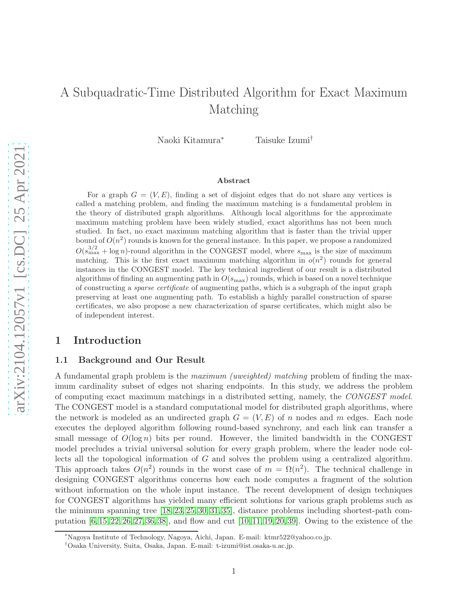# A Subquadratic-Time Distributed Algorithm for Exact Maximum Matching

Naoki Kitamura<sup>∗</sup> Taisuke Izumi†

#### Abstract

For a graph  $G = (V, E)$ , finding a set of disjoint edges that do not share any vertices is called a matching problem, and finding the maximum matching is a fundamental problem in the theory of distributed graph algorithms. Although local algorithms for the approximate maximum matching problem have been widely studied, exact algorithms has not been much studied. In fact, no exact maximum matching algorithm that is faster than the trivial upper bound of  $O(n^2)$  rounds is known for the general instance. In this paper, we propose a randomized  $O(s_{\text{max}}^{3/2} + \log n)$ -round algorithm in the CONGEST model, where  $s_{\text{max}}$  is the size of maximum matching. This is the first exact maximum matching algorithm in  $o(n^2)$  rounds for general instances in the CONGEST model. The key technical ingredient of our result is a distributed algorithms of finding an augmenting path in  $O(s_{\text{max}})$  rounds, which is based on a novel technique of constructing a *sparse certificate* of augmenting paths, which is a subgraph of the input graph preserving at least one augmenting path. To establish a highly parallel construction of sparse certificates, we also propose a new characterization of sparse certificates, which might also be of independent interest.

## 1 Introduction

#### 1.1 Background and Our Result

A fundamental graph problem is the *maximum (uweighted) matching* problem of finding the maximum cardinality subset of edges not sharing endpoints. In this study, we address the problem of computing exact maximum matchings in a distributed setting, namely, the *CONGEST model*. The CONGEST model is a standard computational model for distributed graph algorithms, where the network is modeled as an undirected graph  $G = (V, E)$  of n nodes and m edges. Each node executes the deployed algorithm following round-based synchrony, and each link can transfer a small message of  $O(\log n)$  bits per round. However, the limited bandwidth in the CONGEST model precludes a trivial universal solution for every graph problem, where the leader node collects all the topological information of G and solves the problem using a centralized algorithm. This approach takes  $O(n^2)$  rounds in the worst case of  $m = \Omega(n^2)$ . The technical challenge in designing CONGEST algorithms concerns how each node computes a fragment of the solution without information on the whole input instance. The recent development of design techniques for CONGEST algorithms has yielded many efficient solutions for various graph problems such as the minimum spanning tree [\[18,](#page-16-0) [23,](#page-16-1) [25,](#page-17-0) [30,](#page-17-1) [31,](#page-17-2) [35\]](#page-17-3), distance problems including shortest-path computation [\[6,](#page-15-0) [15,](#page-16-2) [22,](#page-16-3) [26,](#page-17-4) [27,](#page-17-5) [36,](#page-17-6) [38\]](#page-17-7), and flow and cut [\[10,](#page-16-4) [11,](#page-16-5) [19,](#page-16-6) [20,](#page-16-7) [39\]](#page-18-0). Owing to the existence of the

<sup>∗</sup>Nagoya Institute of Technology, Nagoya, Aichi, Japan. E-mail: ktmr522@yahoo.co.jp.

<sup>†</sup>Osaka University, Suita, Osaka, Japan. E-mail: t-izumi@ist.osaka-u.ac.jp.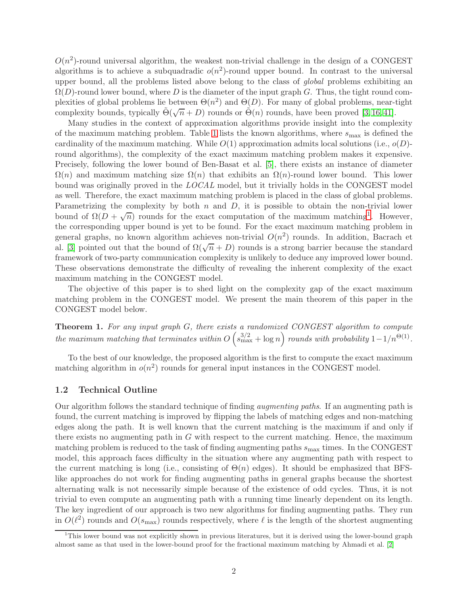$O(n^2)$ -round universal algorithm, the weakest non-trivial challenge in the design of a CONGEST algorithms is to achieve a subquadradic  $o(n^2)$ -round upper bound. In contrast to the universal upper bound, all the problems listed above belong to the class of *global* problems exhibiting an  $\Omega(D)$ -round lower bound, where D is the diameter of the input graph G. Thus, the tight round complexities of global problems lie between  $\Theta(n^2)$  and  $\Theta(D)$ . For many of global problems, near-tight complexity bounds, typically  $\tilde{\Theta}(\sqrt{n}+D)$  rounds or  $\tilde{\Theta}(n)$  rounds, have been proved [\[3,](#page-15-1) [16,](#page-16-8) [41\]](#page-18-1).

Many studies in the context of approximation algorithms provide insight into the complexity of the maximum matching problem. Table [1](#page-3-0) lists the known algorithms, where  $s_{\text{max}}$  is defined the cardinality of the maximum matching. While  $O(1)$  approximation admits local solutions (i.e.,  $o(D)$ ) round algorithms), the complexity of the exact maximum matching problem makes it expensive. Precisely, following the lower bound of Ben-Basat et al. [\[5\]](#page-15-2), there exists an instance of diameter  $\Omega(n)$  and maximum matching size  $\Omega(n)$  that exhibits an  $\Omega(n)$ -round lower bound. This lower bound was originally proved in the *LOCAL* model, but it trivially holds in the CONGEST model as well. Therefore, the exact maximum matching problem is placed in the class of global problems. Parametrizing the complexity by both  $n$  and  $D$ , it is possible to obtain the non-trivial lower bound of  $\Omega(D+\sqrt{n})$  rounds for the exact computation of the maximum matching<sup>[1](#page-1-0)</sup>. However, the corresponding upper bound is yet to be found. For the exact maximum matching problem in general graphs, no known algorithm achieves non-trivial  $O(n^2)$  rounds. In addition, Bacrach et al. [\[3\]](#page-15-1) pointed out that the bound of  $\Omega(\sqrt{n}+D)$  rounds is a strong barrier because the standard framework of two-party communication complexity is unlikely to deduce any improved lower bound. These observations demonstrate the difficulty of revealing the inherent complexity of the exact maximum matching in the CONGEST model.

The objective of this paper is to shed light on the complexity gap of the exact maximum matching problem in the CONGEST model. We present the main theorem of this paper in the CONGEST model below.

Theorem 1. *For any input graph* G*, there exists a randomized CONGEST algorithm to compute*  $the$  maximum matching that terminates within  $O(s_{\text{max}}^{3/2} + \log n)$  rounds with probability  $1 - 1/n^{\Theta(1)}$ .

To the best of our knowledge, the proposed algorithm is the first to compute the exact maximum matching algorithm in  $o(n^2)$  rounds for general input instances in the CONGEST model.

#### 1.2 Technical Outline

Our algorithm follows the standard technique of finding *augmenting paths*. If an augmenting path is found, the current matching is improved by flipping the labels of matching edges and non-matching edges along the path. It is well known that the current matching is the maximum if and only if there exists no augmenting path in  $G$  with respect to the current matching. Hence, the maximum matching problem is reduced to the task of finding augmenting paths  $s_{\text{max}}$  times. In the CONGEST model, this approach faces difficulty in the situation where any augmenting path with respect to the current matching is long (i.e., consisting of  $\Theta(n)$  edges). It should be emphasized that BFSlike approaches do not work for finding augmenting paths in general graphs because the shortest alternating walk is not necessarily simple because of the existence of odd cycles. Thus, it is not trivial to even compute an augmenting path with a running time linearly dependent on its length. The key ingredient of our approach is two new algorithms for finding augmenting paths. They run in  $O(\ell^2)$  rounds and  $O(s_{\text{max}})$  rounds respectively, where  $\ell$  is the length of the shortest augmenting

<span id="page-1-0"></span><sup>1</sup>This lower bound was not explicitly shown in previous literatures, but it is derived using the lower-bound graph almost same as that used in the lower-bound proof for the fractional maximum matching by Ahmadi et al. [\[2\]](#page-15-3)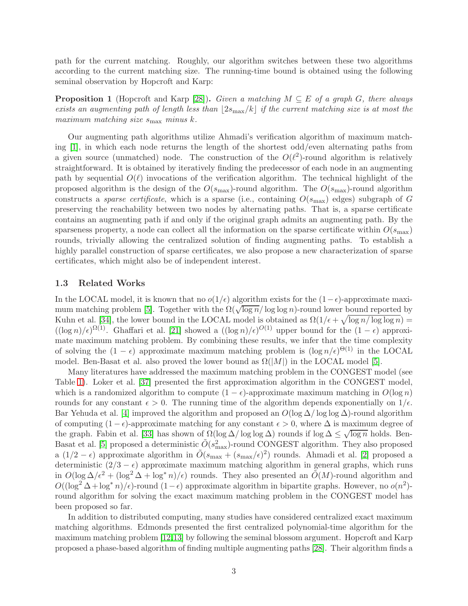path for the current matching. Roughly, our algorithm switches between these two algorithms according to the current matching size. The running-time bound is obtained using the following seminal observation by Hopcroft and Karp:

<span id="page-2-0"></span>Proposition 1 (Hopcroft and Karp [\[28\]](#page-17-8)). *Given a matching* M ⊆ E *of a graph* G*, there always exists an augmenting path of length less than*  $|2s_{\text{max}}/k|$  *if the current matching size is at most the maximum matching size* smax *minus* k*.*

Our augmenting path algorithms utilize Ahmadi's verification algorithm of maximum matching [\[1\]](#page-15-4), in which each node returns the length of the shortest odd/even alternating paths from a given source (unmatched) node. The construction of the  $O(\ell^2)$ -round algorithm is relatively straightforward. It is obtained by iteratively finding the predecessor of each node in an augmenting path by sequential  $O(\ell)$  invocations of the verification algorithm. The technical highlight of the proposed algorithm is the design of the  $O(s_{\text{max}})$ -round algorithm. The  $O(s_{\text{max}})$ -round algorithm constructs a *sparse certificate*, which is a sparse (i.e., containing  $O(s_{\text{max}})$  edges) subgraph of G preserving the reachability between two nodes by alternating paths. That is, a sparse certificate contains an augmenting path if and only if the original graph admits an augmenting path. By the sparseness property, a node can collect all the information on the sparse certificate within  $O(s_{\text{max}})$ rounds, trivially allowing the centralized solution of finding augmenting paths. To establish a highly parallel construction of sparse certificates, we also propose a new characterization of sparse certificates, which might also be of independent interest.

#### 1.3 Related Works

In the LOCAL model, it is known that no  $o(1/\epsilon)$  algorithm exists for the  $(1-\epsilon)$ -approximate maxi-mum matching problem [\[5\]](#page-15-2). Together with the  $\Omega(\sqrt{\log n}/\log \log n)$ -round lower bound reported by Kuhn et al. [\[34\]](#page-17-9), the lower bound in the LOCAL model is obtained as  $\Omega(1/\epsilon + \sqrt{\log n/\log \log n}) =$  $((\log n)/\epsilon)^{\Omega(1)}$ . Ghaffari et al. [\[21\]](#page-16-9) showed a  $((\log n)/\epsilon)^{O(1)}$  upper bound for the  $(1 - \epsilon)$  approximate maximum matching problem. By combining these results, we infer that the time complexity of solving the  $(1 - \epsilon)$  approximate maximum matching problem is  $(\log n/\epsilon)^{\Theta(1)}$  in the LOCAL model. Ben-Basat et al. also proved the lower bound as  $\Omega(|M|)$  in the LOCAL model [\[5\]](#page-15-2).

Many literatures have addressed the maximum matching problem in the CONGEST model (see Table [1\)](#page-3-0). Loker et al. [\[37\]](#page-17-10) presented the first approximation algorithm in the CONGEST model, which is a randomized algorithm to compute  $(1 - \epsilon)$ -approximate maximum matching in  $O(\log n)$ rounds for any constant  $\epsilon > 0$ . The running time of the algorithm depends exponentially on  $1/\epsilon$ . Bar Yehuda et al. [\[4\]](#page-15-5) improved the algorithm and proposed an  $O(\log \Delta / \log \log \Delta)$ -round algorithm of computing  $(1 - \epsilon)$ -approximate matching for any constant  $\epsilon > 0$ , where  $\Delta$  is maximum degree of the graph. Fabin et al. [\[33\]](#page-17-11) has shown of  $\Omega(\log \Delta/\log \log \Delta)$  rounds if  $\log \Delta \leq \sqrt{\log n}$  holds. Ben-Basat et al. [\[5\]](#page-15-2) proposed a deterministic  $\tilde{O}(s_{\text{max}}^2)$ -round CONGEST algorithm. They also proposed a  $(1/2 - \epsilon)$  approximate algorithm in  $\tilde{O}(s_{\text{max}} + (s_{\text{max}}/\epsilon)^2)$  rounds. Ahmadi et al. [\[2\]](#page-15-3) proposed a deterministic  $(2/3 - \epsilon)$  approximate maximum matching algorithm in general graphs, which runs in  $O(\log \Delta/\epsilon^2 + (\log^2 \Delta + \log^* n)/\epsilon)$  rounds. They also presented an  $\tilde{O}(M)$ -round algorithm and  $O((\log^2 \Delta + \log^* n)/\epsilon)$ -round  $(1 - \epsilon)$  approximate algorithm in bipartite graphs. However, no  $o(n^2)$ round algorithm for solving the exact maximum matching problem in the CONGEST model has been proposed so far.

In addition to distributed computing, many studies have considered centralized exact maximum matching algorithms. Edmonds presented the first centralized polynomial-time algorithm for the maximum matching problem [\[12,](#page-16-10)[13\]](#page-16-11) by following the seminal blossom argument. Hopcroft and Karp proposed a phase-based algorithm of finding multiple augmenting paths [\[28\]](#page-17-8). Their algorithm finds a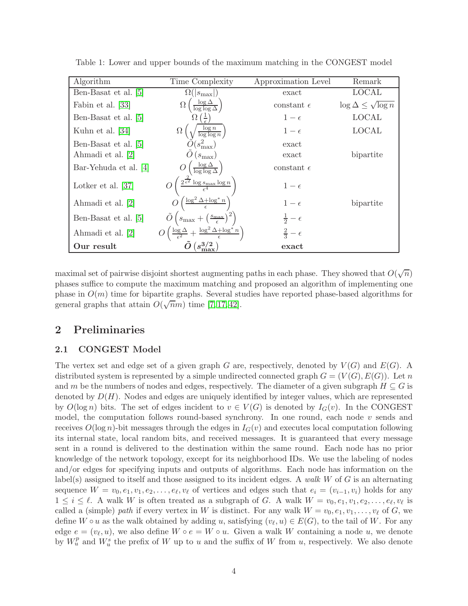| Algorithm             | Time Complexity                                                                           | Approximation Level    | Remark                           |
|-----------------------|-------------------------------------------------------------------------------------------|------------------------|----------------------------------|
| Ben-Basat et al. [5]  | $\Omega( s_{\max} )$                                                                      | exact                  | <b>LOCAL</b>                     |
| Fabin et al. [33]     | $\frac{\log \Delta}{\log \log \Delta}$<br>$\Omega$                                        | constant $\epsilon$    | $\log \Delta \leq \sqrt{\log n}$ |
| Ben-Basat et al. [5]  | $\Omega\left(\frac{1}{\epsilon}\right)$                                                   | $1-\epsilon$           | <b>LOCAL</b>                     |
| Kuhn et al. [34]      | $\left(\sqrt{\frac{\log n}{\log \log n}}\right)$                                          | $1-\epsilon$           | <b>LOCAL</b>                     |
| Ben-Basat et al. [5]  | $\widetilde{O}(s_{\text{max}}^2)$                                                         | exact                  |                                  |
| Ahmadi et al. [2]     | $(s_{\text{max}})$                                                                        | exact                  | bipartite                        |
| Bar-Yehuda et al. [4] | $\frac{\log \Delta}{\log \log \Delta}$                                                    | constant $\epsilon$    |                                  |
| Lotker et al. $[37]$  | $2^{\frac{2}{\epsilon^2}} \log s_{\max} \log n$                                           | $1-\epsilon$           |                                  |
| Ahmadi et al. [2]     | $\left(\frac{\log^2\Delta + \log^*n}{\epsilon}\right)$                                    | $1-\epsilon$           | bipartite                        |
| Ben-Basat et al. [5]  | $\tilde{O}\left(s_{\max}+\left(\frac{s_{\max}}{\epsilon}\right)^2\right)$                 | $rac{1}{2} - \epsilon$ |                                  |
| Ahmadi et al. [2]     | $\left(\frac{\log \Delta}{\epsilon^2} + \frac{\log^2 \Delta + \log^* n}{\epsilon}\right)$ | $rac{2}{3}-\epsilon$   |                                  |
| Our result            |                                                                                           | exact                  |                                  |

<span id="page-3-0"></span>Table 1: Lower and upper bounds of the maximum matching in the CONGEST model

maximal set of pairwise disjoint shortest augmenting paths in each phase. They showed that  $O(\sqrt{n})$ phases suffice to compute the maximum matching and proposed an algorithm of implementing one phase in  $O(m)$  time for bipartite graphs. Several studies have reported phase-based algorithms for general graphs that attain  $O(\sqrt{nm})$  time [\[7,](#page-15-6) [17,](#page-16-12) [42\]](#page-18-2).

## 2 Preliminaries

#### 2.1 CONGEST Model

The vertex set and edge set of a given graph G are, respectively, denoted by  $V(G)$  and  $E(G)$ . A distributed system is represented by a simple undirected connected graph  $G = (V(G), E(G))$ . Let n and m be the numbers of nodes and edges, respectively. The diameter of a given subgraph  $H \subseteq G$  is denoted by  $D(H)$ . Nodes and edges are uniquely identified by integer values, which are represented by  $O(\log n)$  bits. The set of edges incident to  $v \in V(G)$  is denoted by  $I_G(v)$ . In the CONGEST model, the computation follows round-based synchrony. In one round, each node  $v$  sends and receives  $O(\log n)$ -bit messages through the edges in  $I_G(v)$  and executes local computation following its internal state, local random bits, and received messages. It is guaranteed that every message sent in a round is delivered to the destination within the same round. Each node has no prior knowledge of the network topology, except for its neighborhood IDs. We use the labeling of nodes and/or edges for specifying inputs and outputs of algorithms. Each node has information on the label(s) assigned to itself and those assigned to its incident edges. A *walk* W of G is an alternating sequence  $W = v_0, e_1, v_1, e_2, \dots, e_\ell, v_\ell$  of vertices and edges such that  $e_i = (v_{i-1}, v_i)$  holds for any  $1 \leq i \leq \ell$ . A walk W is often treated as a subgraph of G. A walk  $W = v_0, e_1, v_1, e_2, \ldots, e_{\ell}, v_{\ell}$  is called a (simple) *path* if every vertex in W is distinct. For any walk  $W = v_0, e_1, v_1, \ldots, v_\ell$  of G, we define  $W \circ u$  as the walk obtained by adding u, satisfying  $(v_{\ell}, u) \in E(G)$ , to the tail of W. For any edge  $e = (v_{\ell}, u)$ , we also define  $W \circ e = W \circ u$ . Given a walk W containing a node u, we denote by  $W_u^p$  and  $W_u^s$  the prefix of W up to u and the suffix of W from u, respectively. We also denote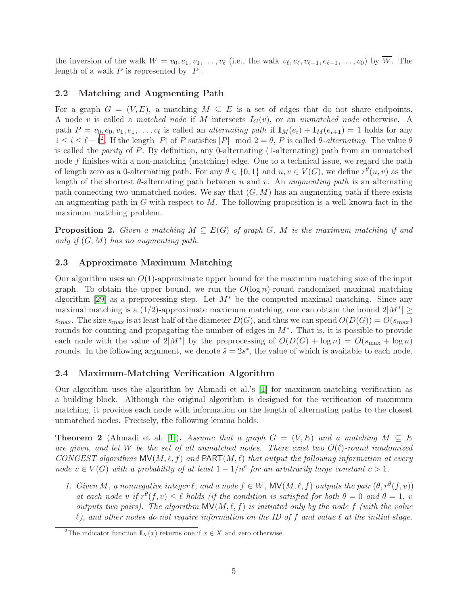the inversion of the walk  $W = v_0, e_1, v_1, \ldots, v_\ell$  (i.e., the walk  $v_\ell, e_\ell, v_{\ell-1}, e_{\ell-1}, \ldots, v_0$ ) by W. The length of a walk  $P$  is represented by  $|P|$ .

#### 2.2 Matching and Augmenting Path

For a graph  $G = (V, E)$ , a matching  $M \subseteq E$  is a set of edges that do not share endpoints. A node v is called a *matched node* if M intersects IG(v), or an *unmatched node* otherwise. A path  $P = v_0, e_0, v_1, e_1, \ldots, v_\ell$  is called an *alternating path* if  $\mathbf{I}_M(e_i) + \mathbf{I}_M(e_{i+1}) = 1$  holds for any  $1 ≤ i ≤ l − 1<sup>2</sup>$  $1 ≤ i ≤ l − 1<sup>2</sup>$  $1 ≤ i ≤ l − 1<sup>2</sup>$ . If the length |P| of P satisfies |P| mod  $2 = θ$ , P is called  $θ$ -alternating. The value  $θ$ is called the *parity* of P. By definition, any 0-alternating (1-alternating) path from an unmatched node f finishes with a non-matching (matching) edge. Oue to a technical issue, we regard the path of length zero as a 0-alternating path. For any  $\theta \in \{0,1\}$  and  $u, v \in V(G)$ , we define  $r^{\theta}(u, v)$  as the length of the shortest  $\theta$ -alternating path between u and v. An *augmenting path* is an alternating path connecting two unmatched nodes. We say that  $(G, M)$  has an augmenting path if there exists an augmenting path in  $G$  with respect to  $M$ . The following proposition is a well-known fact in the maximum matching problem.

**Proposition 2.** Given a matching  $M \subseteq E(G)$  of graph G, M is the maximum matching if and *only if* (G, M) *has no augmenting path.*

#### 2.3 Approximate Maximum Matching

Our algorithm uses an  $O(1)$ -approximate upper bound for the maximum matching size of the input graph. To obtain the upper bound, we run the  $O(\log n)$ -round randomized maximal matching algorithm [\[29\]](#page-17-12) as a preprocessing step. Let  $M^*$  be the computed maximal matching. Since any maximal matching is a  $(1/2)$ -approximate maximum matching, one can obtain the bound  $2|M^*| \ge$  $s_{\text{max}}$ . The size  $s_{\text{max}}$  is at least half of the diameter  $D(G)$ , and thus we can spend  $O(D(G)) = O(s_{\text{max}})$ rounds for counting and propagating the number of edges in M∗ . That is, it is possible to provide each node with the value of  $2|M^*|$  by the preprocessing of  $O(D(G) + \log n) = O(s_{\max} + \log n)$ rounds. In the following argument, we denote  $\hat{s} = 2s^*$ , the value of which is available to each node.

#### 2.4 Maximum-Matching Verification Algorithm

Our algorithm uses the algorithm by Ahmadi et al.'s [\[1\]](#page-15-4) for maximum-matching verification as a building block. Although the original algorithm is designed for the verification of maximum matching, it provides each node with information on the length of alternating paths to the closest unmatched nodes. Precisely, the following lemma holds.

**Theorem 2** (Ahmadi et al. [\[1\]](#page-15-4)). Assume that a graph  $G = (V, E)$  and a matching  $M \subseteq E$ *are given, and let* W *be the set of all unmatched nodes. There exist two* O(ℓ)*-round randomized CONGEST algorithms*  $\mathsf{MV}(M, \ell, f)$  *and*  $\mathsf{PART}(M, \ell)$  *that output the following information at every node*  $v \in V(G)$  *with a probability of at least*  $1 - 1/n^c$  *for an arbitrarily large constant*  $c > 1$ *.* 

*1. Given M*, a nonnegative integer  $\ell$ , and a node  $f \in W$ ,  $MV(M, \ell, f)$  outputs the pair  $(\theta, r^{\theta}(f, v))$ *at each node* v *if*  $r^{\theta}(f, v) \leq \ell$  *holds (if the condition is satisfied for both*  $\theta = 0$  *and*  $\theta = 1$ *, v outputs two pairs). The algorithm*  $\mathsf{MV}(M, \ell, f)$  *is initiated only by the node* f *(with the value* ℓ*), and other nodes do not require information on the ID of* f *and value* ℓ *at the initial stage.*

<span id="page-4-0"></span><sup>&</sup>lt;sup>2</sup>The indicator function  $\mathbf{I}_X(x)$  returns one if  $x \in X$  and zero otherwise.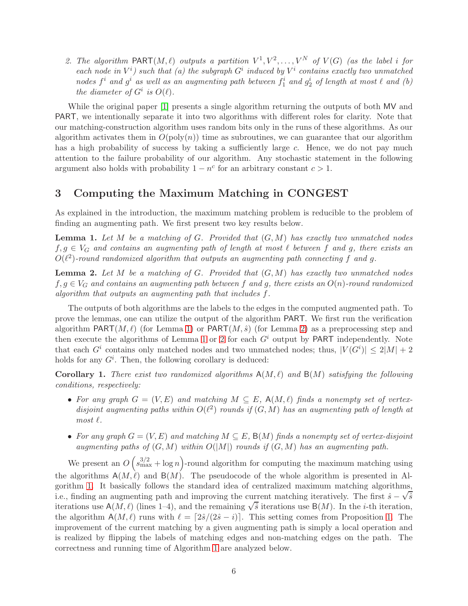2. The algorithm  $\text{PART}(M, \ell)$  outputs a partition  $V^1, V^2, \ldots, V^N$  of  $V(G)$  (as the label i for *each node in*  $V^i$  *such that* (*a*) the subgraph  $G^i$  induced by  $V^i$  contains exactly two unmatched  $\int$ *nodes*  $f^i$  *and*  $g^i$  *as well as an augmenting path between*  $f^i_1$  *and*  $g^i_2$  *of length at most*  $\ell$  *and*  $(b)$ *the diameter of*  $G^i$  *is*  $O(\ell)$ *.* 

While the original paper [\[1\]](#page-15-4) presents a single algorithm returning the outputs of both MV and PART, we intentionally separate it into two algorithms with different roles for clarity. Note that our matching-construction algorithm uses random bits only in the runs of these algorithms. As our algorithm activates them in  $O(poly(n))$  time as subroutines, we can guarantee that our algorithm has a high probability of success by taking a sufficiently large c. Hence, we do not pay much attention to the failure probability of our algorithm. Any stochastic statement in the following argument also holds with probability  $1 - n^c$  for an arbitrary constant  $c > 1$ .

## 3 Computing the Maximum Matching in CONGEST

As explained in the introduction, the maximum matching problem is reducible to the problem of finding an augmenting path. We first present two key results below.

<span id="page-5-0"></span>Lemma 1. *Let* M *be a matching of* G*. Provided that* (G, M) *has exactly two unmatched nodes*  $f, g \in V_G$  and contains an augmenting path of length at most  $\ell$  between  $f$  and  $g$ , there exists an  $O(\ell^2)$ -round randomized algorithm that outputs an augmenting path connecting f and g.

<span id="page-5-1"></span>Lemma 2. *Let* M *be a matching of* G*. Provided that* (G, M) *has exactly two unmatched nodes*  $f, g \in V_G$  and contains an augmenting path between f and g, there exists an  $O(n)$ -round randomized *algorithm that outputs an augmenting path that includes* f*.*

The outputs of both algorithms are the labels to the edges in the computed augmented path. To prove the lemmas, one can utilize the output of the algorithm PART. We first run the verification algorithm  $PART(M, \ell)$  (for Lemma [1\)](#page-5-0) or PART $(M, \hat{s})$  (for Lemma [2\)](#page-5-1) as a preprocessing step and then execute the algorithms of Lemma [1](#page-5-0) or [2](#page-5-1) for each  $G<sup>i</sup>$  output by PART independently. Note that each  $G^i$  contains only matched nodes and two unmatched nodes; thus,  $|V(G^i)| \leq 2|M| + 2$ holds for any  $G^i$ . Then, the following corollary is deduced:

**Corollary 1.** There exist two randomized algorithms  $A(M, \ell)$  and  $B(M)$  satisfying the following *conditions, respectively:*

- For any graph  $G = (V, E)$  and matching  $M \subseteq E$ ,  $A(M, \ell)$  finds a nonempty set of vertexdisjoint augmenting paths within  $O(\ell^2)$  *rounds if*  $(G, M)$  *has an augmenting path of length at*  $most$   $\ell$ *.*
- For any graph  $G = (V, E)$  and matching  $M \subseteq E$ ,  $B(M)$  finds a nonempty set of vertex-disjoint *augmenting paths of*  $(G, M)$  *within*  $O(|M|)$  *rounds if*  $(G, M)$  *has an augmenting path.*

We present an  $O(s_{\max}^{3/2} + \log n)$ -round algorithm for computing the maximum matching using the algorithms  $A(M, \ell)$  and  $B(M)$ . The pseudocode of the whole algorithm is presented in Algorithm [1.](#page-6-0) It basically follows the standard idea of centralized maximum matching algorithms, i.e., finding an augmenting path and improving the current matching iteratively. The first  $\hat{s} - \sqrt{\hat{s}}$ iterations use  $A(M, \ell)$  (lines 1–4), and the remaining  $\sqrt{\hat{s}}$  iterations use  $B(M)$ . In the *i*-th iteration, the algorithm  $A(M,\ell)$  runs with  $\ell = \lceil 2\hat{s}/(2\hat{s}-i) \rceil$ . This setting comes from Proposition [1.](#page-2-0) The improvement of the current matching by a given augmenting path is simply a local operation and is realized by flipping the labels of matching edges and non-matching edges on the path. The correctness and running time of Algorithm [1](#page-6-0) are analyzed below.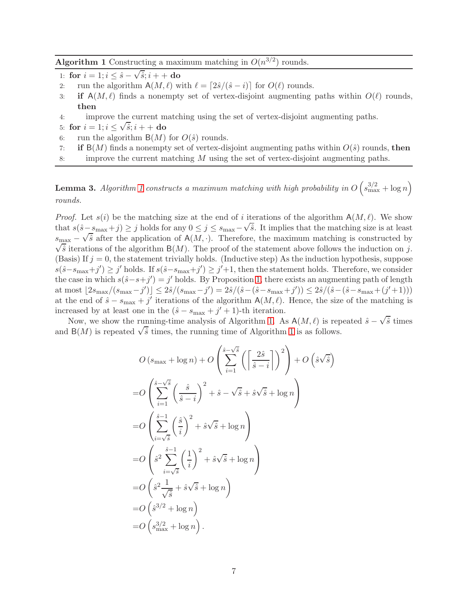<span id="page-6-0"></span>**Algorithm 1** Constructing a maximum matching in  $O(n^{3/2})$  rounds.

- 1: for  $i = 1; i \leq \hat{s} \sqrt{\hat{s}}; i + +$ **do**
- 2: run the algorithm  $A(M, \ell)$  with  $\ell = \lceil 2\hat{s}/(\hat{s} i) \rceil$  for  $O(\ell)$  rounds.<br>3: **if**  $A(M, \ell)$  finds a nonempty set of vertex-disjoint augmenting
- if  $A(M,\ell)$  finds a nonempty set of vertex-disjoint augmenting paths within  $O(\ell)$  rounds, then
- 4: improve the current matching using the set of vertex-disjoint augmenting paths.
- 5: for  $i = 1; i \leq \sqrt{\hat{s}}; i + +$  do
- 6: run the algorithm  $B(M)$  for  $O(\hat{s})$  rounds.
- 7: if  $B(M)$  finds a nonempty set of vertex-disjoint augmenting paths within  $O(\hat{s})$  rounds, then
- 8: improve the current matching  $M$  using the set of vertex-disjoint augmenting paths.

**Lemma 3.** Algorithm [1](#page-6-0) constructs a maximum matching with high probability in  $O(s_{\max}^{3/2} + \log n)$ *rounds.*

*Proof.* Let  $s(i)$  be the matching size at the end of i iterations of the algorithm  $A(M,\ell)$ . We show that  $s(\hat{s}-s_{\max}+j) \geq j$  holds for any  $0 \leq j \leq s_{\max}-\sqrt{\hat{s}}$ . It implies that the matching size is at least  $s_{\text{max}} - \sqrt{\hat{s}}$  after the application of A(M, ·). Therefore, the maximum matching is constructed by  $\sqrt{\hat{s}}$  iterations of the algorithm B(M). The proof of the statement above follows the induction on j. (Basis) If  $j = 0$ , the statement trivially holds. (Inductive step) As the induction hypothesis, suppose  $s(\hat{s}-s_{\text{max}}+j') \geq j'$  holds. If  $s(\hat{s}-s_{\text{max}}+j') \geq j'+1$ , then the statement holds. Therefore, we consider the case in which  $s(\hat{s}-s+j')=j'$  holds. By Proposition [1,](#page-2-0) there exists an augmenting path of length at most  $\lfloor 2s_{\text{max}}/(s_{\text{max}}-j') \rfloor \leq 2\hat{s}/(s_{\text{max}}-j') = 2\hat{s}/(\hat{s}-(\hat{s}-s_{\text{max}}+j')) \leq 2\hat{s}/(\hat{s}-(\hat{s}-s_{\text{max}}+(j'+1)))$ at the end of  $\hat{s} - s_{\text{max}} + j'$  iterations of the algorithm  $A(M, \ell)$ . Hence, the size of the matching is increased by at least one in the  $(\hat{s} - s_{\text{max}} + j' + 1)$ -th iteration.

Now, we show the running-time analysis of Algorithm [1.](#page-6-0) As  $A(M, \ell)$  is repeated  $\hat{s} - \sqrt{\hat{s}}$  times and  $B(M)$  is repeated  $\sqrt{\hat{s}}$  times, the running time of Algorithm [1](#page-6-0) is as follows.

$$
O(s_{\max} + \log n) + O\left(\sum_{i=1}^{\hat{s}-\sqrt{\hat{s}}} \left(\left\lceil \frac{2\hat{s}}{\hat{s}-i} \right\rceil \right)^2\right) + O\left(\hat{s}\sqrt{\hat{s}}\right)
$$
  
\n
$$
= O\left(\sum_{i=1}^{\hat{s}-\sqrt{\hat{s}}} \left(\frac{\hat{s}}{\hat{s}-i}\right)^2 + \hat{s} - \sqrt{\hat{s}} + \hat{s}\sqrt{\hat{s}} + \log n\right)
$$
  
\n
$$
= O\left(\sum_{i=\sqrt{\hat{s}}}^{\hat{s}-1} \left(\frac{\hat{s}}{i}\right)^2 + \hat{s}\sqrt{\hat{s}} + \log n\right)
$$
  
\n
$$
= O\left(\hat{s}^2 \sum_{i=\sqrt{\hat{s}}}^{\hat{s}-1} \left(\frac{1}{i}\right)^2 + \hat{s}\sqrt{\hat{s}} + \log n\right)
$$
  
\n
$$
= O\left(\hat{s}^2 \frac{1}{\sqrt{\hat{s}}} + \hat{s}\sqrt{\hat{s}} + \log n\right)
$$
  
\n
$$
= O\left(\hat{s}^{3/2} + \log n\right)
$$
  
\n
$$
= O\left(s_{\max}^{3/2} + \log n\right).
$$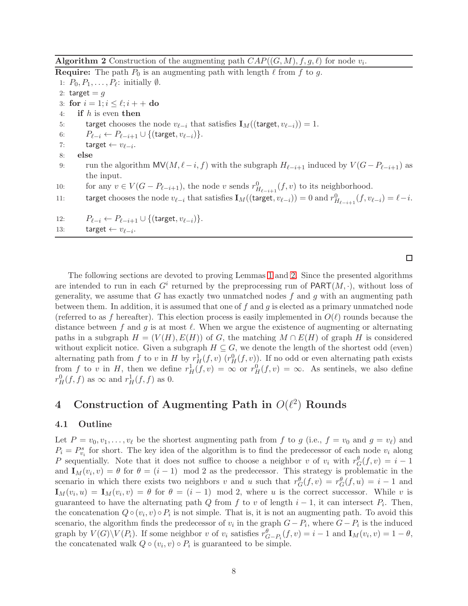<span id="page-7-0"></span>**Algorithm 2** Construction of the augmenting path  $CAP((G, M), f, g, \ell)$  for node  $v_i$ .

**Require:** The path  $P_0$  is an augmenting path with length  $\ell$  from  $f$  to  $g$ . 1:  $P_0, P_1, \ldots, P_\ell$ : initially  $\emptyset$ . 2: target  $= q$ 3: for  $i = 1; i \leq \ell; i + +$  do<br>4: if h is even then if  $h$  is even then 5: target chooses the node  $v_{\ell-i}$  that satisfies  $\mathbf{I}_M((\text{target}, v_{\ell-i})) = 1$ . 6:  $P_{\ell-i} \leftarrow P_{\ell-i+1} \cup \{(\text{target}, v_{\ell-i})\}.$ 7: target  $\leftarrow v_{\ell-i}$ . 8: else 9: run the algorithm MV( $M, \ell - i, f$ ) with the subgraph  $H_{\ell - i+1}$  induced by  $V(G - P_{\ell - i+1})$  as the input. 10: for any  $v \in V(G - P_{\ell-i+1})$ , the node v sends  $r^0_{H_{\ell-i+1}}(f, v)$  to its neighborhood. 11: target chooses the node  $v_{\ell-i}$  that satisfies  $\mathbf{I}_M((\text{target}, v_{\ell-i})) = 0$  and  $r_{H_{\ell-i+1}}^0(f, v_{\ell-i}) = \ell-i$ . 12:  $P_{\ell-i} \leftarrow P_{\ell-i+1} \cup \{(\text{target}, v_{\ell-i})\}.$ 13: target  $\leftarrow v_{\ell-i}$ .

 $\Box$ 

The following sections are devoted to proving Lemmas [1](#page-5-0) and [2.](#page-5-1) Since the presented algorithms are intended to run in each  $G^i$  returned by the preprocessing run of  $\text{PART}(M, \cdot)$ , without loss of generality, we assume that G has exactly two unmatched nodes  $f$  and  $q$  with an augmenting path between them. In addition, it is assumed that one of  $f$  and  $g$  is elected as a primary unmatched node (referred to as f hereafter). This election process is easily implemented in  $O(\ell)$  rounds because the distance between f and g is at most  $\ell$ . When we argue the existence of augmenting or alternating paths in a subgraph  $H = (V(H), E(H))$  of G, the matching  $M \cap E(H)$  of graph H is considered without explicit notice. Given a subgraph  $H \subseteq G$ , we denote the length of the shortest odd (even) alternating path from f to v in H by  $r_H^1(f, v)$   $(r_H^0(f, v))$ . If no odd or even alternating path exists from f to v in H, then we define  $r_H^1(f, v) = \infty$  or  $r_H^0(f, v) = \infty$ . As sentinels, we also define  $r_H^0(f, f)$  as  $\infty$  and  $r_H^1(f, f)$  as 0.

## 4 Construction of Augmenting Path in  $O(\ell^2)$  Rounds

#### 4.1 Outline

Let  $P = v_0, v_1, \ldots, v_\ell$  be the shortest augmenting path from f to g (i.e.,  $f = v_0$  and  $g = v_\ell$ ) and  $P_i = P_{v_i}^s$  for short. The key idea of the algorithm is to find the predecessor of each node  $v_i$  along P sequentially. Note that it does not suffice to choose a neighbor v of  $v_i$  with  $r_G^{\theta}(f, v) = i - 1$ and  $\mathbf{I}_M(v_i, v) = \theta$  for  $\theta = (i - 1) \mod 2$  as the predecessor. This strategy is problematic in the scenario in which there exists two neighbors v and u such that  $r_G^{\theta}(f, v) = r_G^{\theta}(f, u) = i - 1$  and  $\mathbf{I}_M(v_i, u) = \mathbf{I}_M(v_i, v) = \theta$  for  $\theta = (i - 1) \mod 2$ , where u is the correct successor. While v is guaranteed to have the alternating path  $Q$  from  $f$  to  $v$  of length  $i - 1$ , it can intersect  $P_i$ . Then, the concatenation  $Q \circ (v_i, v) \circ P_i$  is not simple. That is, it is not an augmenting path. To avoid this scenario, the algorithm finds the predecessor of  $v_i$  in the graph  $G - P_i$ , where  $G - P_i$  is the induced graph by  $V(G)\backslash V(P_i)$ . If some neighbor v of  $v_i$  satisfies  $r^{\theta}_{G-P_i}(f, v) = i - 1$  and  $\mathbf{I}_M(v_i, v) = 1 - \theta$ , the concatenated walk  $Q \circ (v_i, v) \circ P_i$  is guaranteed to be simple.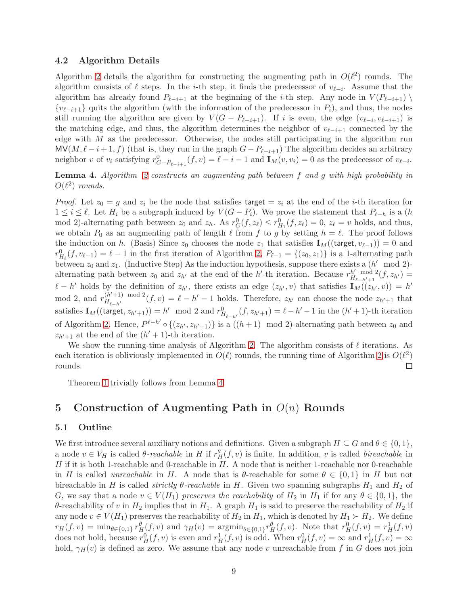#### 4.2 Algorithm Details

Algorithm [2](#page-7-0) details the algorithm for constructing the augmenting path in  $O(\ell^2)$  rounds. The algorithm consists of  $\ell$  steps. In the *i*-th step, it finds the predecessor of  $v_{\ell-i}$ . Assume that the algorithm has already found  $P_{\ell-i+1}$  at the beginning of the *i*-th step. Any node in  $V(P_{\ell-i+1})$  $\{v_{\ell-i+1}\}\$  quits the algorithm (with the information of the predecessor in  $P_i$ ), and thus, the nodes still running the algorithm are given by  $V(G - P_{\ell-i+1})$ . If i is even, the edge  $(v_{\ell-i}, v_{\ell-i+1})$  is the matching edge, and thus, the algorithm determines the neighbor of  $v_{\ell-i+1}$  connected by the edge with  $M$  as the predecessor. Otherwise, the nodes still participating in the algorithm run  $MV(M, \ell-i+1, f)$  (that is, they run in the graph  $G - P_{\ell-i+1}$ ) The algorithm decides an arbitrary neighbor v of  $v_i$  satisfying  $r_{G-P_{\ell-i+1}}^0(f,v) = \ell-i-1$  and  $\mathbf{I}_M(v,v_i) = 0$  as the predecessor of  $v_{\ell-i}$ .

### <span id="page-8-0"></span>Lemma 4. *Algorithm [2](#page-7-0) constructs an augmenting path between* f *and* g *with high probability in*  $O(\ell^2)$  *rounds.*

*Proof.* Let  $z_0 = g$  and  $z_i$  be the node that satisfies target  $z_i$  at the end of the *i*-th iteration for  $1 \leq i \leq \ell$ . Let  $H_i$  be a subgraph induced by  $V(G - P_i)$ . We prove the statement that  $P_{\ell-h}$  is a  $(h)$ mod 2)-alternating path between  $z_0$  and  $z_h$ . As  $r_G^0(f, z_\ell) \le r_{H_1}^0(f, z_\ell) = 0$ ,  $z_\ell = v$  holds, and thus, we obtain  $P_0$  as an augmenting path of length  $\ell$  from  $f$  to  $g$  by setting  $h = \ell$ . The proof follows the induction on h. (Basis) Since  $z_0$  chooses the node  $z_1$  that satisfies  $\mathbf{I}_M((\text{target}, v_{\ell-1})) = 0$  and  $r_{H_{\ell}}^0(f, v_{\ell-1}) = \ell - 1$  in the first iteration of Algorithm [2,](#page-7-0)  $P_{\ell-1} = \{(z_0, z_1)\}\$ is a 1-alternating path between  $z_0$  and  $z_1$ . (Inductive Step) As the induction hypothesis, suppose there exists a  $(h' \mod 2)$ alternating path between  $z_0$  and  $z_{h'}$  at the end of the h'-th iteration. Because  $r_{H_{e-h'+1}}^{h'}$  mod 2  $\frac{h'}{H_{\ell-h'+1}}$ <sup>2</sup> $(f, z_{h'}) =$  $\ell - h'$  holds by the definition of  $z_{h'}$ , there exists an edge  $(z_{h'}, v)$  that satisfies  $\mathbf{I}_M((z_{h'}, v)) = h'$ mod 2, and  $r_{H_{2n+1}}^{(h'+1) \mod 2}$  $H_{\ell-h'}^{(h+1) \mod 2}(f, v) = \ell - h' - 1$  holds. Therefore,  $z_{h'}$  can choose the node  $z_{h'+1}$  that satisfies  $\mathbf{I}_M((\text{target}, z_{h'+1})) = h' \mod 2$  and  $r^0_{H_{\ell-h'}}(f, z_{h'+1}) = \ell - h' - 1$  in the  $(h'+1)$ -th iteration of Algorithm [2.](#page-7-0) Hence,  $P^{\ell-h'} \circ \{(z_{h'}, z_{h'+1})\}$  is a  $((h+1) \mod 2)$ -alternating path between  $z_0$  and  $z_{h'+1}$  at the end of the  $(h'+1)$ -th iteration.

We show the running-time analysis of Algorithm [2.](#page-7-0) The algorithm consists of  $\ell$  iterations. As each iteration is obliviously implemented in  $O(\ell)$  rounds, the running time of Algorithm [2](#page-7-0) is  $O(\ell^2)$ rounds.  $\Box$ 

Theorem [1](#page-5-0) trivially follows from Lemma [4.](#page-8-0)

### 5 Construction of Augmenting Path in  $O(n)$  Rounds

#### <span id="page-8-1"></span>5.1 Outline

We first introduce several auxiliary notions and definitions. Given a subgraph  $H \subseteq G$  and  $\theta \in \{0,1\}$ , a node  $v \in V_H$  is called  $\theta$ -reachable in H if  $r_H^{\theta}(f, v)$  is finite. In addition, v is called *bireachable* in H if it is both 1-reachable and 0-reachable in  $H$ . A node that is neither 1-reachable nor 0-reachable in H is called *unreachable* in H. A node that is  $\theta$ -reachable for some  $\theta \in \{0,1\}$  in H but not bireachable in H is called *strictly*  $\theta$ -reachable in H. Given two spanning subgraphs  $H_1$  and  $H_2$  of G, we say that a node  $v \in V(H_1)$  *preserves the reachability* of  $H_2$  in  $H_1$  if for any  $\theta \in \{0,1\}$ , the θ-reachability of v in  $H_2$  implies that in  $H_1$ . A graph  $H_1$  is said to preserve the reachability of  $H_2$  if any node  $v \in V(H_1)$  preserves the reachability of  $H_2$  in  $H_1$ , which is denoted by  $H_1 \succ H_2$ . We define  $r_H(f, v) = \min_{\theta \in \{0,1\}} r_H^{\theta}(f, v)$  and  $\gamma_H(v) = \operatorname{argmin}_{\theta \in \{0,1\}} r_H^{\theta}(f, v)$ . Note that  $r_H^0(f, v) = r_H^1(f, v)$ does not hold, because  $r_H^0(f, v)$  is even and  $r_H^1(f, v)$  is odd. When  $r_H^0(f, v) = \infty$  and  $r_H^1(f, v) = \infty$ hold,  $\gamma_H(v)$  is defined as zero. We assume that any node v unreachable from f in G does not join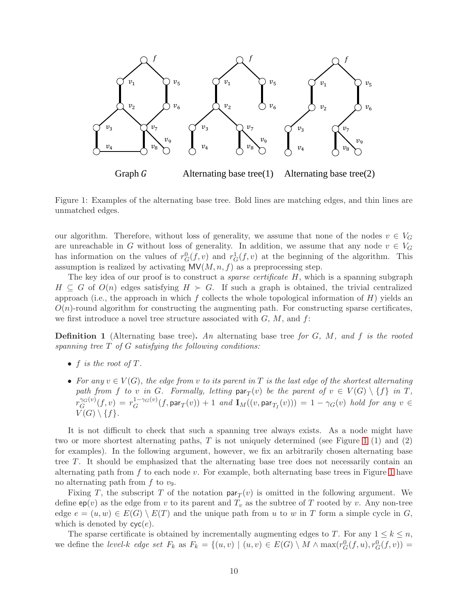

<span id="page-9-0"></span>Figure 1: Examples of the alternating base tree. Bold lines are matching edges, and thin lines are unmatched edges.

our algorithm. Therefore, without loss of generality, we assume that none of the nodes  $v \in V_G$ are unreachable in G without loss of generality. In addition, we assume that any node  $v \in V_G$ has information on the values of  $r_G^0(f, v)$  and  $r_G^1(f, v)$  at the beginning of the algorithm. This assumption is realized by activating  $MV(M, n, f)$  as a preprocessing step.

The key idea of our proof is to construct a *sparse certificate* H, which is a spanning subgraph  $H \subseteq G$  of  $O(n)$  edges satisfying  $H \succ G$ . If such a graph is obtained, the trivial centralized approach (i.e., the approach in which f collects the whole topological information of  $H$ ) yields an  $O(n)$ -round algorithm for constructing the augmenting path. For constructing sparse certificates, we first introduce a novel tree structure associated with  $G, M$ , and  $f$ :

Definition 1 (Alternating base tree). *An* alternating base tree *for* G*,* M*, and* f *is the rooted spanning tree* T *of* G *satisfying the following conditions:*

- $f$  *is the root of*  $T$ *.*
- For any  $v \in V(G)$ , the edge from v to its parent in T is the last edge of the shortest alternating path from f to v in G. Formally, letting  $\textsf{par}_T(v)$  be the parent of  $v \in V(G) \setminus \{f\}$  in T,  $r_G^{\gamma_G(v)}$  $G_G^{G(v)}(f,v) = r_G^{1-\gamma_G(v)}(f, \mathsf{par}_T(v)) + 1$  and  $\mathbf{I}_M((v, \mathsf{par}_{T_I}(v))) = 1 - \gamma_G(v)$  hold for any  $v \in G$  $V(G) \setminus \{f\}.$

It is not difficult to check that such a spanning tree always exists. As a node might have two or more shortest alternating paths,  $T$  is not uniquely determined (see Figure [1](#page-9-0) (1) and (2) for examples). In the following argument, however, we fix an arbitrarily chosen alternating base tree T. It should be emphasized that the alternating base tree does not necessarily contain an alternating path from f to each node v. For example, both alternating base trees in Figure [1](#page-9-0) have no alternating path from  $f$  to  $v_9$ .

Fixing T, the subscript T of the notation  $\text{par}_T(v)$  is omitted in the following argument. We define  $ep(v)$  as the edge from v to its parent and  $T_v$  as the subtree of T rooted by v. Any non-tree edge  $e = (u, w) \in E(G) \setminus E(T)$  and the unique path from u to w in T form a simple cycle in G, which is denoted by  $\mathsf{cyc}(e)$ .

The sparse certificate is obtained by incrementally augmenting edges to T. For any  $1 \leq k \leq n$ , we define the *level-k edge set*  $F_k$  as  $F_k = \{(u, v) \mid (u, v) \in E(G) \setminus M \wedge \max(r_G^0(f, u), r_G^0(f, v)) =$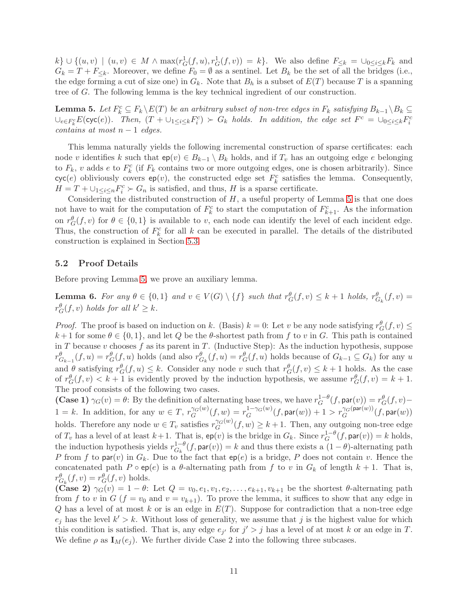$k\} \cup \{(u,v) \mid (u,v) \in M \wedge \max(r_G^1(f,u), r_G^1(f,v)) = k\}.$  We also define  $F_{\leq k} = \bigcup_{0 \leq i \leq k} F_{k}$  and  $G_k = T + F_{\leq k}$ . Moreover, we define  $F_0 = \emptyset$  as a sentinel. Let  $B_k$  be the set of all the bridges (i.e., the edge forming a cut of size one) in  $G_k$ . Note that  $B_h$  is a subset of  $E(T)$  because T is a spanning tree of G. The following lemma is the key technical ingredient of our construction.

<span id="page-10-0"></span>**Lemma 5.** Let  $F_k^c \subseteq F_k \setminus E(T)$  be an arbitrary subset of non-tree edges in  $F_k$  satisfying  $B_{k-1} \setminus B_k \subseteq$  $\cup_{e \in F_k^c} E(\text{cyc}(e))$ . Then,  $(T + \cup_{1 \leq i \leq k} F_i^c) \succ G_k$  holds. In addition, the edge set  $F^c = \cup_{0 \leq i \leq k} F_i^c$ *contains at most*  $n - 1$  *edges.* 

This lemma naturally yields the following incremental construction of sparse certificates: each node v identifies k such that  $ep(v) \in B_{k-1} \setminus B_k$  holds, and if  $T_v$  has an outgoing edge e belonging to  $F_k$ , v adds e to  $F_k^c$  (if  $F_k$  contains two or more outgoing edges, one is chosen arbitrarily). Since  $cyc(e)$  obliviously covers  $ep(v)$ , the constructed edge set  $F_k^c$  satisfies the lemma. Consequently,  $H = T + \bigcup_{1 \leq i \leq n} F_i^c \succ G_n$  is satisfied, and thus, H is a sparse certificate.

Considering the distributed construction of  $H$ , a useful property of Lemma [5](#page-10-0) is that one does not have to wait for the computation of  $F_k^c$  to start the computation of  $F_{k+1}^c$ . As the information on  $r_G^{\theta}(f, v)$  for  $\theta \in \{0, 1\}$  is available to v, each node can identify the level of each incident edge. Thus, the construction of  $F_k^c$  for all k can be executed in parallel. The details of the distributed construction is explained in Section [5.3.](#page-13-0)

#### 5.2 Proof Details

Before proving Lemma [5,](#page-10-0) we prove an auxiliary lemma.

<span id="page-10-1"></span>**Lemma 6.** For any  $\theta \in \{0,1\}$  and  $v \in V(G) \setminus \{f\}$  such that  $r_G^{\theta}(f, v) \leq k+1$  holds,  $r_{G_k}^{\theta}(f, v) =$  $r_G^{\theta}(f, v)$  *holds for all*  $k' \geq k$ .

*Proof.* The proof is based on induction on k. (Basis)  $k = 0$ : Let v be any node satisfying  $r_G^{\theta}(f, v) \le$  $k+1$  for some  $\theta \in \{0,1\}$ , and let Q be the  $\theta$ -shortest path from f to v in G. This path is contained in T because v chooses f as its parent in T. (Inductive Step): As the induction hypothesis, suppose  $r^{\theta}_{G_{k-1}}(f, u) = r^{\theta}_{G}(f, u)$  holds (and also  $r^{\theta}_{G_k}(f, u) = r^{\theta}_{G}(f, u)$  holds because of  $G_{k-1} \subseteq G_k$ ) for any u and  $\theta$  satisfying  $r_G^{\theta}(f, u) \leq k$ . Consider any node v such that  $r_G^{\theta}(f, v) \leq k + 1$  holds. As the case of  $r_G^{\theta}(f, v) < k+1$  is evidently proved by the induction hypothesis, we assume  $r_G^{\theta}(f, v) = k+1$ . The proof consists of the following two cases.

**(Case 1)**  $\gamma_G(v) = \theta$ : By the definition of alternating base trees, we have  $r_G^{1-\theta}(f, \text{par}(v)) = r_G^{\theta}(f, v)$  $1 = k$ . In addition, for any  $w \in T$ ,  $r_G^{y(G(w))}$  $G_G^{\gamma_G(w)}(f,w) = r_G^{1-\gamma_G(w)}(f, \mathsf{par}(w)) + 1 > r_G^{\gamma_G(\mathsf{par}(w))}(f, \mathsf{par}(w))$ holds. Therefore any node  $w \in T_v$  satisfies  $r_G^{\gamma_G(w)}$  $G_G^{\gamma G(w)}(f, w) \geq k+1$ . Then, any outgoing non-tree edge of  $T_v$  has a level of at least  $k+1$ . That is,  $ep(v)$  is the bridge in  $G_k$ . Since  $r_G^{1-\theta}(f, \text{par}(v)) = k$  holds, the induction hypothesis yields  $r_{G_k}^{1-\theta}(f, \text{par}(v)) = k$  and thus there exists a  $(1-\theta)$ -alternating path P from f to par(v) in  $G_k$ . Due to the fact that  $ep(e)$  is a bridge, P does not contain v. Hence the concatenated path P  $\circ$  ep(e) is a  $\theta$ -alternating path from f to v in  $G_k$  of length  $k+1$ . That is,  $r_{G_k}^{\theta}(f, v) = r_G^{\theta}(f, v)$  holds.

(Case 2)  $\gamma_G(v) = 1 - \theta$ : Let  $Q = v_0, e_1, v_1, e_2, \ldots, e_{k+1}, v_{k+1}$  be the shortest  $\theta$ -alternating path from f to v in G ( $f = v_0$  and  $v = v_{k+1}$ ). To prove the lemma, it suffices to show that any edge in Q has a level of at most k or is an edge in  $E(T)$ . Suppose for contradiction that a non-tree edge  $e_j$  has the level  $k' > k$ . Without loss of generality, we assume that j is the highest value for which this condition is satisfied. That is, any edge  $e_{j'}$  for  $j' > j$  has a level of at most k or an edge in T. We define  $\rho$  as  $I_M(e_i)$ . We further divide Case 2 into the following three subcases.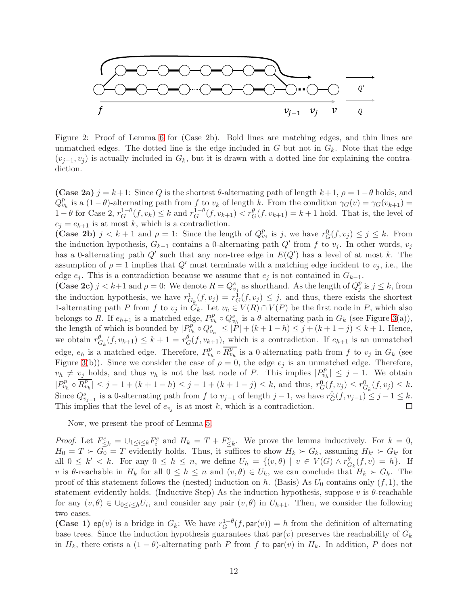

Figure 2: Proof of Lemma [6](#page-10-1) for (Case 2b). Bold lines are matching edges, and thin lines are unmatched edges. The dotted line is the edge included in G but not in  $G_k$ . Note that the edge  $(v_{j-1}, v_j)$  is actually included in  $G_k$ , but it is drawn with a dotted line for explaining the contradiction.

(Case 2a)  $j = k+1$ : Since Q is the shortest  $\theta$ -alternating path of length  $k+1$ ,  $\rho = 1-\theta$  holds, and  $Q_{v_k}^p$  is a  $(1 - \theta)$ -alternating path from f to  $v_k$  of length k. From the condition  $\gamma_G(v) = \gamma_G(v_{k+1}) =$  $1-\theta$  for Case 2,  $r_G^{1-\theta}(f, v_k) \leq k$  and  $r_G^{1-\theta}(f, v_{k+1}) < r_G^{\theta}(f, v_{k+1}) = k+1$  hold. That is, the level of  $e_i = e_{k+1}$  is at most k, which is a contradiction.

(Case 2b)  $j < k+1$  and  $\rho = 1$ : Since the length of  $Q_{\nu_j}^p$  is j, we have  $r_G^0(f, v_j) \leq j \leq k$ . From the induction hypothesis,  $G_{k-1}$  contains a 0-alternating path  $Q'$  from f to  $v_j$ . In other words,  $v_j$ has a 0-alternating path  $Q'$  such that any non-tree edge in  $E(Q')$  has a level of at most k. The assumption of  $\rho = 1$  implies that  $Q'$  must terminate with a matching edge incident to  $v_i$ , i.e., the edge  $e_i$ . This is a contradiction because we assume that  $e_i$  is not contained in  $G_{k-1}$ .

(Case 2c)  $j < k+1$  and  $\rho = 0$ : We denote  $R = Q_{v_j}^s$  as shorthand. As the length of  $Q_j^p$  $j^p$  is  $j \leq k$ , from the induction hypothesis, we have  $r_{G_k}^1(f, v_j) = r_G^1(f, v_j) \leq j$ , and thus, there exists the shortest 1-alternating path P from f to  $v_j$  in  $G_k$ . Let  $v_h \in V(R) \cap V(P)$  be the first node in P, which also belongs to R. If  $e_{h+1}$  is a matched edge,  $P_{v_h}^p \circ Q_{v_h}^s$  is a  $\theta$ -alternating path in  $G_k$  (see Figure [3\(](#page-12-0)a)), the length of which is bounded by  $|P_{v_h}^p \circ Q_{v_h}^s| \leq |P| + (k+1-h) \leq j + (k+1-j) \leq k+1$ . Hence, we obtain  $r^{\theta}_{G_k}(f, v_{k+1}) \leq k+1 = r^{\theta}_{G}(f, v_{k+1}),$  which is a contradiction. If  $e_{h+1}$  is an unmatched edge,  $e_h$  is a matched edge. Therefore,  $P_{v_h}^p \circ \overline{R_{v_h}^p}$  is a 0-alternating path from f to  $v_j$  in  $G_k$  (see Figure [3\(](#page-12-0)b)). Since we consider the case of  $\rho = 0$ , the edge  $e_j$  is an unmatched edge. Therefore,  $v_h \neq v_j$  holds, and thus  $v_h$  is not the last node of P. This implies  $|P_{v_h}^p| \leq j-1$ . We obtain  $|P_{v_h}^p \circ \overline{R_{v_h}^p}| \leq j - 1 + (k + 1 - h) \leq j - 1 + (k + 1 - j) \leq k$ , and thus,  $r_G^0(f, v_j) \leq r_{G_k}^0(f, v_j) \leq k$ . Since  $Q_{v_{j-1}}^s$  is a 0-alternating path from f to  $v_{j-1}$  of length  $j-1$ , we have  $r_G^0(f, v_{j-1}) \leq j-1 \leq k$ . This implies that the level of  $e_{v_j}$  is at most k, which is a contradiction.

Now, we present the proof of Lemma [5.](#page-10-0)

*Proof.* Let  $F_{\leq k}^c = \bigcup_{1 \leq i \leq k} F_i^c$  and  $H_k = T + F_{\leq k}^c$ . We prove the lemma inductively. For  $k = 0$ ,  $H_0 = T \succ G_0 = T$  evidently holds. Thus, it suffices to show  $H_k \succ G_k$ , assuming  $H_{k'} \succ G_{k'}$  for all  $0 \leq k' < k$ . For any  $0 \leq h \leq n$ , we define  $U_h = \{(v, \theta) \mid v \in V(G) \wedge r_{G_k}^{\theta}(f, v) = h\}$ . If v is  $\theta$ -reachable in  $H_k$  for all  $0 \leq h \leq n$  and  $(v, \theta) \in U_h$ , we can conclude that  $H_k \succ G_k$ . The proof of this statement follows the (nested) induction on h. (Basis) As  $U_0$  contains only  $(f, 1)$ , the statement evidently holds. (Inductive Step) As the induction hypothesis, suppose v is  $\theta$ -reachable for any  $(v, \theta) \in \bigcup_{0 \leq i \leq h} U_i$ , and consider any pair  $(v, \theta)$  in  $U_{h+1}$ . Then, we consider the following two cases.

(Case 1) ep(v) is a bridge in  $G_k$ : We have  $r_G^{1-\theta}(f, \text{par}(v)) = h$  from the definition of alternating base trees. Since the induction hypothesis guarantees that  $\text{par}(v)$  preserves the reachability of  $G_k$ in  $H_k$ , there exists a  $(1 - \theta)$ -alternating path P from f to par $(v)$  in  $H_k$ . In addition, P does not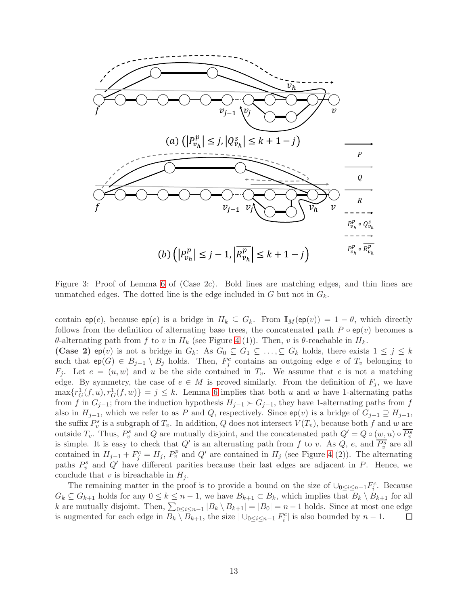

<span id="page-12-0"></span>Figure 3: Proof of Lemma [6](#page-10-1) of (Case 2c). Bold lines are matching edges, and thin lines are unmatched edges. The dotted line is the edge included in G but not in  $G_k$ .

contain ep(e), because ep(e) is a bridge in  $H_k \subseteq G_k$ . From  $\mathbf{I}_M(\text{ep}(v)) = 1 - \theta$ , which directly follows from the definition of alternating base trees, the concatenated path  $P \circ ep(v)$  becomes a θ-alternating path from f to v in  $H_k$  (see Figure [4](#page-13-1) (1)). Then, v is θ-reachable in  $H_k$ .

(Case 2) ep(v) is not a bridge in  $G_k$ : As  $G_0 \subseteq G_1 \subseteq \ldots \subseteq G_k$  holds, there exists  $1 \leq j \leq k$ such that  $ep(G) \in B_{j-1} \setminus B_j$  holds. Then,  $F_j^c$  contains an outgoing edge e of  $T_v$  belonging to  $F_i$ . Let  $e = (u, w)$  and u be the side contained in  $T_v$ . We assume that e is not a matching edge. By symmetry, the case of  $e \in M$  is proved similarly. From the definition of  $F_j$ , we have  $\max\{r_G^1(f, u), r_G^1(f, w)\} = j \leq k$ . Lemma [6](#page-10-1) implies that both u and w have 1-alternating paths from f in  $G_{j-1}$ ; from the induction hypothesis  $H_{j-1} \succ G_{j-1}$ , they have 1-alternating paths from f also in  $H_{i-1}$ , which we refer to as P and Q, respectively. Since  $ep(v)$  is a bridge of  $G_{i-1} \supseteq H_{i-1}$ , the suffix  $P_v^s$  is a subgraph of  $T_v$ . In addition, Q does not intersect  $V(T_v)$ , because both f and w are outside  $T_v$ . Thus,  $P_v^s$  and Q are mutually disjoint, and the concatenated path  $Q' = Q \circ (w, u) \circ \overline{P_v^s}$ is simple. It is easy to check that  $Q'$  is an alternating path from f to v. As  $Q$ , e, and  $\overline{P_v^s}$  are all contained in  $H_{j-1} + F_j^c = H_j$ ,  $P_v^p$  and  $Q'$  are contained in  $H_j$  (see Figure [4](#page-13-1) (2)). The alternating paths  $P_v^s$  and  $Q'$  have different parities because their last edges are adjacent in P. Hence, we conclude that v is bireachable in  $H_i$ .

The remaining matter in the proof is to provide a bound on the size of  $\cup_{0 \leq i \leq n-1} F_i^c$ . Because  $G_k \subseteq G_{k+1}$  holds for any  $0 \leq k \leq n-1$ , we have  $B_{k+1} \subset B_k$ , which implies that  $B_k \setminus B_{k+1}$  for all k are mutually disjoint. Then,  $\sum_{0 \le i \le n-1} |B_k \setminus B_{k+1}| = |B_0| = n-1$  holds. Since at most one edge is augmented for each edge in  $B_k \setminus \overline{B}_{k+1}$ , the size  $|\cup_{0 \leq i \leq n-1} F_i^c|$  is also bounded by  $n-1$ .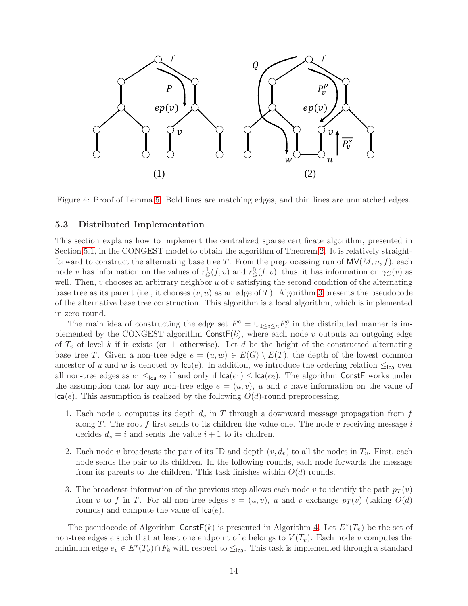

<span id="page-13-1"></span>Figure 4: Proof of Lemma [5.](#page-10-0) Bold lines are matching edges, and thin lines are unmatched edges.

#### <span id="page-13-0"></span>5.3 Distributed Implementation

This section explains how to implement the centralized sparse certificate algorithm, presented in Section [5.1,](#page-8-1) in the CONGEST model to obtain the algorithm of Theorem [2.](#page-5-1) It is relatively straightforward to construct the alternating base tree T. From the preprocessing run of  $\mathsf{MV}(M,n,f)$ , each node v has information on the values of  $r_G^1(f, v)$  and  $r_G^0(f, v)$ ; thus, it has information on  $\gamma_G(v)$  as well. Then,  $v$  chooses an arbitrary neighbor  $u$  of  $v$  satisfying the second condition of the alternating base tree as its parent (i.e., it chooses  $(v, u)$  as an edge of T). Algorithm [3](#page-14-0) presents the pseudocode of the alternative base tree construction. This algorithm is a local algorithm, which is implemented in zero round.

The main idea of constructing the edge set  $F^c = \bigcup_{1 \leq i \leq n} F_i^c$  in the distributed manner is implemented by the CONGEST algorithm  $ConstF(k)$ , where each node v outputs an outgoing edge of  $T_v$  of level k if it exists (or  $\perp$  otherwise). Let d be the height of the constructed alternating base tree T. Given a non-tree edge  $e = (u, w) \in E(G) \setminus E(T)$ , the depth of the lowest common ancestor of u and w is denoted by  $\text{lca}(e)$ . In addition, we introduce the ordering relation  $\leq_{\text{lca}}$  over all non-tree edges as  $e_1 \leq_{\text{lca}} e_2$  if and only if  $\text{lca}(e_1) \leq \text{lca}(e_2)$ . The algorithm ConstF works under the assumption that for any non-tree edge  $e = (u, v)$ , u and v have information on the value of  $\textsf{lca}(e)$ . This assumption is realized by the following  $O(d)$ -round preprocessing.

- 1. Each node v computes its depth  $d_v$  in T through a downward message propagation from f along T. The root  $f$  first sends to its children the value one. The node  $v$  receiving message  $i$ decides  $d_v = i$  and sends the value  $i + 1$  to its chldren.
- 2. Each node v broadcasts the pair of its ID and depth  $(v, d_v)$  to all the nodes in  $T_v$ . First, each node sends the pair to its children. In the following rounds, each node forwards the message from its parents to the children. This task finishes within  $O(d)$  rounds.
- 3. The broadcast information of the previous step allows each node v to identify the path  $p_T(v)$ from v to f in T. For all non-tree edges  $e = (u, v)$ , u and v exchange  $p_T(v)$  (taking  $O(d)$ ) rounds) and compute the value of  $\textsf{lca}(e)$ .

The pseudocode of Algorithm Const $F(k)$  is presented in Algorithm [4.](#page-14-1) Let  $E^*(T_v)$  be the set of non-tree edges e such that at least one endpoint of e belongs to  $V(T_v)$ . Each node v computes the minimum edge  $e_v \in E^*(T_v) \cap F_k$  with respect to  $\leq_{\text{lca}}$ . This task is implemented through a standard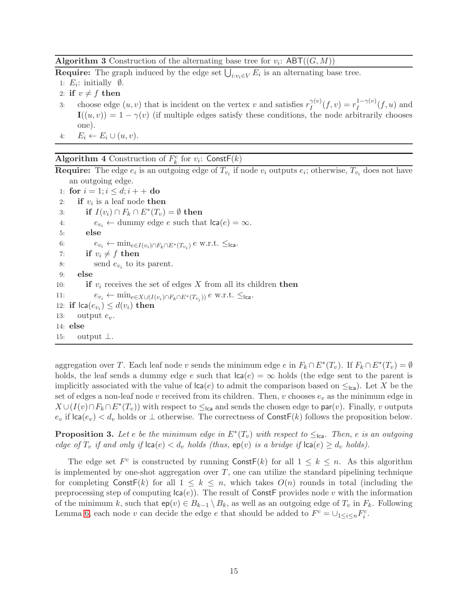<span id="page-14-0"></span>**Algorithm 3** Construction of the alternating base tree for  $v_i$ :  $ABT((G, M))$ 

**Require:** The graph induced by the edge set  $\bigcup_{i:v_i \in V} E_i$  is an alternating base tree.

- 1:  $E_i$ : initially  $\emptyset$ .
- 2: if  $v \neq f$  then
- 3: choose edge  $(u, v)$  that is incident on the vertex v and satisfies  $r_I^{\gamma(v)}$  $I_I^{\gamma(v)}(f,v) = r_I^{1-\gamma(v)}(f,u)$  and  $\mathbf{I}((u, v)) = 1 - \gamma(v)$  (if multiple edges satisfy these conditions, the node arbitrarily chooses one).
- 4:  $E_i \leftarrow E_i \cup (u, v)$ .

## <span id="page-14-1"></span>Algorithm 4 Construction of  $F_k^c$  for  $v_i$ : Const $F(k)$

**Require:** The edge  $e_i$  is an outgoing edge of  $T_{v_i}$  if node  $v_i$  outputs  $e_i$ ; otherwise,  $T_{v_i}$  does not have an outgoing edge.

```
1: for i = 1; i \le d; i + 42: if v_i is a leaf node then
 3: if I(v_i) \cap F_k \cap E^*(T_v) = \emptyset then
 4: e_{v_i} \leftarrow dummy edge e such that \text{lca}(e) = \infty.
 5: else
 6: e_{v_i} \leftarrow \min_{e \in I(v_i) \cap F_k \cap E^*(T_{v_i})} e \text{ w.r.t. } \leq_{\textsf{lca}}.7: if v_i \neq f then<br>8: send e_v to it
 8: send e_{v_i} to its parent.
 9: else
10: if v_i receives the set of edges X from all its children then
11: e_{v_i} \leftarrow \min_{e \in X \cup (I(v_i) \cap F_k \cap E^*(T_{v_i}))} e w.r.t. ≤lca.
12: if \text{lca}(e_{v_i}) \leq d(v_i) then
13: output e_v.
14: else
15: output ⊥.
```
aggregation over T. Each leaf node v sends the minimum edge e in  $F_k \cap E^*(T_v)$ . If  $F_k \cap E^*(T_v) = \emptyset$ holds, the leaf sends a dummy edge e such that  $\text{lca}(e) = \infty$  holds (the edge sent to the parent is implicitly associated with the value of  $\text{lca}(e)$  to admit the comparison based on  $\leq_{\text{lca}}$ ). Let X be the set of edges a non-leaf node v received from its children. Then, v chooses  $e_v$  as the minimum edge in  $X \cup (I(v) \cap F_k \cap E^*(T_v))$  with respect to  $\leq_{\textsf{lca}}$  and sends the chosen edge to par $(v)$ . Finally, v outputs  $e_v$  if  $\textsf{lca}(e_v) < d_v$  holds or  $\perp$  otherwise. The correctness of Const $\mathsf{F}(k)$  follows the proposition below.

**Proposition 3.** Let e be the minimum edge in  $E^*(T_v)$  with respect to  $\leq_{\text{lca}}$ . Then, e is an outgoing *edge of*  $T_v$  *if and only if*  $|ca(e) < d_v$  *holds (thus,*  $ep(v)$  *is a bridge if*  $|ca(e) \geq d_v$  *holds).* 

The edge set  $F^c$  is constructed by running  $\text{ConstF}(k)$  for all  $1 \leq k \leq n$ . As this algorithm is implemented by one-shot aggregation over  $T$ , one can utilize the standard pipelining technique for completing  $\text{Const}(k)$  for all  $1 \leq k \leq n$ , which takes  $O(n)$  rounds in total (including the preprocessing step of computing  $\text{lca}(e)$ ). The result of ConstF provides node v with the information of the minimum k, such that  $ep(v) \in B_{k-1} \setminus B_k$ , as well as an outgoing edge of  $T_v$  in  $F_k$ . Following Lemma [6,](#page-10-1) each node v can decide the edge e that should be added to  $F^c = \bigcup_{1 \leq i \leq n} F_i^c$ .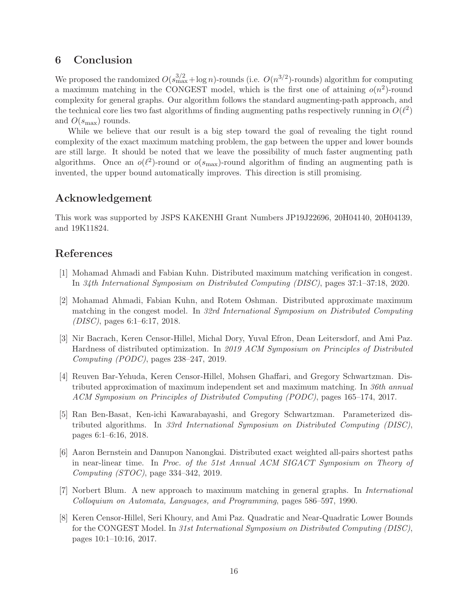## 6 Conclusion

We proposed the randomized  $O(s_{\text{max}}^{3/2} + \log n)$ -rounds (i.e.  $O(n^{3/2})$ -rounds) algorithm for computing a maximum matching in the CONGEST model, which is the first one of attaining  $o(n^2)$ -round complexity for general graphs. Our algorithm follows the standard augmenting-path approach, and the technical core lies two fast algorithms of finding augmenting paths respectively running in  $O(\ell^2)$ and  $O(s_{\text{max}})$  rounds.

While we believe that our result is a big step toward the goal of revealing the tight round complexity of the exact maximum matching problem, the gap between the upper and lower bounds are still large. It should be noted that we leave the possibility of much faster augmenting path algorithms. Once an  $o(\ell^2)$ -round or  $o(s_{\text{max}})$ -round algorithm of finding an augmenting path is invented, the upper bound automatically improves. This direction is still promising.

## Acknowledgement

This work was supported by JSPS KAKENHI Grant Numbers JP19J22696, 20H04140, 20H04139, and 19K11824.

## <span id="page-15-4"></span>References

- [1] Mohamad Ahmadi and Fabian Kuhn. Distributed maximum matching verification in congest. In *34th International Symposium on Distributed Computing (DISC)*, pages 37:1–37:18, 2020.
- <span id="page-15-3"></span>[2] Mohamad Ahmadi, Fabian Kuhn, and Rotem Oshman. Distributed approximate maximum matching in the congest model. In *32rd International Symposium on Distributed Computing (DISC)*, pages 6:1–6:17, 2018.
- <span id="page-15-1"></span>[3] Nir Bacrach, Keren Censor-Hillel, Michal Dory, Yuval Efron, Dean Leitersdorf, and Ami Paz. Hardness of distributed optimization. In *2019 ACM Symposium on Principles of Distributed Computing (PODC)*, pages 238–247, 2019.
- <span id="page-15-5"></span>[4] Reuven Bar-Yehuda, Keren Censor-Hillel, Mohsen Ghaffari, and Gregory Schwartzman. Distributed approximation of maximum independent set and maximum matching. In *36th annual ACM Symposium on Principles of Distributed Computing (PODC)*, pages 165–174, 2017.
- <span id="page-15-2"></span>[5] Ran Ben-Basat, Ken-ichi Kawarabayashi, and Gregory Schwartzman. Parameterized distributed algorithms. In *33rd International Symposium on Distributed Computing (DISC)*, pages 6:1–6:16, 2018.
- <span id="page-15-0"></span>[6] Aaron Bernstein and Danupon Nanongkai. Distributed exact weighted all-pairs shortest paths in near-linear time. In *Proc. of the 51st Annual ACM SIGACT Symposium on Theory of Computing (STOC)*, page 334–342, 2019.
- <span id="page-15-6"></span>[7] Norbert Blum. A new approach to maximum matching in general graphs. In *International Colloquium on Automata, Languages, and Programming*, pages 586–597, 1990.
- [8] Keren Censor-Hillel, Seri Khoury, and Ami Paz. Quadratic and Near-Quadratic Lower Bounds for the CONGEST Model. In *31st International Symposium on Distributed Computing (DISC)*, pages 10:1–10:16, 2017.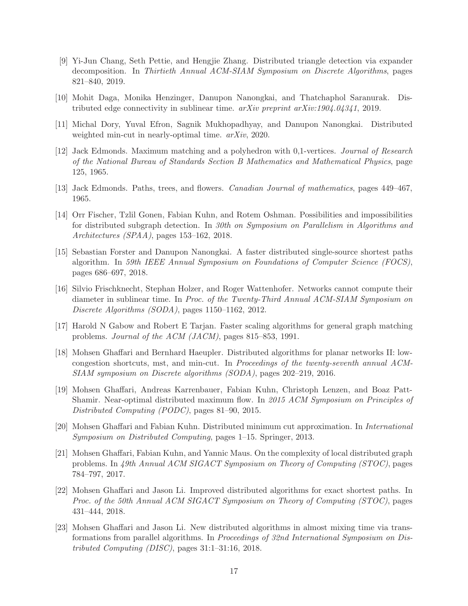- [9] Yi-Jun Chang, Seth Pettie, and Hengjie Zhang. Distributed triangle detection via expander decomposition. In *Thirtieth Annual ACM-SIAM Symposium on Discrete Algorithms*, pages 821–840, 2019.
- <span id="page-16-5"></span><span id="page-16-4"></span>[10] Mohit Daga, Monika Henzinger, Danupon Nanongkai, and Thatchaphol Saranurak. Distributed edge connectivity in sublinear time. *arXiv preprint arXiv:1904.04341*, 2019.
- <span id="page-16-10"></span>[11] Michal Dory, Yuval Efron, Sagnik Mukhopadhyay, and Danupon Nanongkai. Distributed weighted min-cut in nearly-optimal time. *arXiv*, 2020.
- [12] Jack Edmonds. Maximum matching and a polyhedron with 0,1-vertices. *Journal of Research of the National Bureau of Standards Section B Mathematics and Mathematical Physics*, page 125, 1965.
- <span id="page-16-11"></span>[13] Jack Edmonds. Paths, trees, and flowers. *Canadian Journal of mathematics*, pages 449–467, 1965.
- [14] Orr Fischer, Tzlil Gonen, Fabian Kuhn, and Rotem Oshman. Possibilities and impossibilities for distributed subgraph detection. In *30th on Symposium on Parallelism in Algorithms and Architectures (SPAA)*, pages 153–162, 2018.
- <span id="page-16-2"></span>[15] Sebastian Forster and Danupon Nanongkai. A faster distributed single-source shortest paths algorithm. In *59th IEEE Annual Symposium on Foundations of Computer Science (FOCS)*, pages 686–697, 2018.
- <span id="page-16-8"></span>[16] Silvio Frischknecht, Stephan Holzer, and Roger Wattenhofer. Networks cannot compute their diameter in sublinear time. In *Proc. of the Twenty-Third Annual ACM-SIAM Symposium on Discrete Algorithms (SODA)*, pages 1150–1162, 2012.
- <span id="page-16-12"></span>[17] Harold N Gabow and Robert E Tarjan. Faster scaling algorithms for general graph matching problems. *Journal of the ACM (JACM)*, pages 815–853, 1991.
- <span id="page-16-0"></span>[18] Mohsen Ghaffari and Bernhard Haeupler. Distributed algorithms for planar networks II: lowcongestion shortcuts, mst, and min-cut. In *Proceedings of the twenty-seventh annual ACM-SIAM symposium on Discrete algorithms (SODA)*, pages 202–219, 2016.
- <span id="page-16-6"></span>[19] Mohsen Ghaffari, Andreas Karrenbauer, Fabian Kuhn, Christoph Lenzen, and Boaz Patt-Shamir. Near-optimal distributed maximum flow. In *2015 ACM Symposium on Principles of Distributed Computing (PODC)*, pages 81–90, 2015.
- <span id="page-16-7"></span>[20] Mohsen Ghaffari and Fabian Kuhn. Distributed minimum cut approximation. In *International Symposium on Distributed Computing*, pages 1–15. Springer, 2013.
- <span id="page-16-9"></span>[21] Mohsen Ghaffari, Fabian Kuhn, and Yannic Maus. On the complexity of local distributed graph problems. In *49th Annual ACM SIGACT Symposium on Theory of Computing (STOC)*, pages 784–797, 2017.
- <span id="page-16-3"></span>[22] Mohsen Ghaffari and Jason Li. Improved distributed algorithms for exact shortest paths. In *Proc. of the 50th Annual ACM SIGACT Symposium on Theory of Computing (STOC)*, pages 431–444, 2018.
- <span id="page-16-1"></span>[23] Mohsen Ghaffari and Jason Li. New distributed algorithms in almost mixing time via transformations from parallel algorithms. In *Proceedings of 32nd International Symposium on Distributed Computing (DISC)*, pages 31:1–31:16, 2018.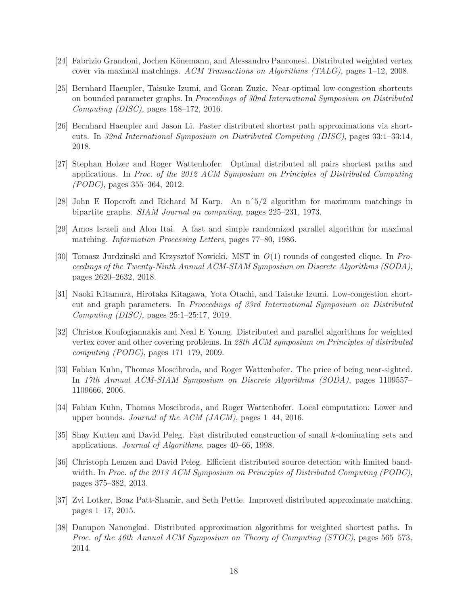- <span id="page-17-0"></span>[24] Fabrizio Grandoni, Jochen Könemann, and Alessandro Panconesi. Distributed weighted vertex cover via maximal matchings. *ACM Transactions on Algorithms (TALG)*, pages 1–12, 2008.
- [25] Bernhard Haeupler, Taisuke Izumi, and Goran Zuzic. Near-optimal low-congestion shortcuts on bounded parameter graphs. In *Proceedings of 30nd International Symposium on Distributed Computing (DISC)*, pages 158–172, 2016.
- <span id="page-17-4"></span>[26] Bernhard Haeupler and Jason Li. Faster distributed shortest path approximations via shortcuts. In *32nd International Symposium on Distributed Computing (DISC)*, pages 33:1–33:14, 2018.
- <span id="page-17-5"></span>[27] Stephan Holzer and Roger Wattenhofer. Optimal distributed all pairs shortest paths and applications. In *Proc. of the 2012 ACM Symposium on Principles of Distributed Computing (PODC)*, pages 355–364, 2012.
- <span id="page-17-12"></span><span id="page-17-8"></span>[28] John E Hopcroft and Richard M Karp. An nˆ5/2 algorithm for maximum matchings in bipartite graphs. *SIAM Journal on computing*, pages 225–231, 1973.
- <span id="page-17-1"></span>[29] Amos Israeli and Alon Itai. A fast and simple randomized parallel algorithm for maximal matching. *Information Processing Letters*, pages 77–80, 1986.
- [30] Tomasz Jurdzinski and Krzysztof Nowicki. MST in *O*(1) rounds of congested clique. In *Proceedings of the Twenty-Ninth Annual ACM-SIAM Symposium on Discrete Algorithms (SODA)*, pages 2620–2632, 2018.
- <span id="page-17-2"></span>[31] Naoki Kitamura, Hirotaka Kitagawa, Yota Otachi, and Taisuke Izumi. Low-congestion shortcut and graph parameters. In *Proccedings of 33rd International Symposium on Distributed Computing (DISC)*, pages 25:1–25:17, 2019.
- [32] Christos Koufogiannakis and Neal E Young. Distributed and parallel algorithms for weighted vertex cover and other covering problems. In *28th ACM symposium on Principles of distributed computing (PODC)*, pages 171–179, 2009.
- <span id="page-17-11"></span>[33] Fabian Kuhn, Thomas Moscibroda, and Roger Wattenhofer. The price of being near-sighted. In *17th Annual ACM-SIAM Symposium on Discrete Algorithms (SODA)*, pages 1109557– 1109666, 2006.
- <span id="page-17-9"></span>[34] Fabian Kuhn, Thomas Moscibroda, and Roger Wattenhofer. Local computation: Lower and upper bounds. *Journal of the ACM (JACM)*, pages 1–44, 2016.
- <span id="page-17-3"></span>[35] Shay Kutten and David Peleg. Fast distributed construction of small *k*-dominating sets and applications. *Journal of Algorithms*, pages 40–66, 1998.
- <span id="page-17-6"></span>[36] Christoph Lenzen and David Peleg. Efficient distributed source detection with limited bandwidth. In *Proc. of the 2013 ACM Symposium on Principles of Distributed Computing (PODC)*, pages 375–382, 2013.
- <span id="page-17-10"></span>[37] Zvi Lotker, Boaz Patt-Shamir, and Seth Pettie. Improved distributed approximate matching. pages 1–17, 2015.
- <span id="page-17-7"></span>[38] Danupon Nanongkai. Distributed approximation algorithms for weighted shortest paths. In *Proc. of the 46th Annual ACM Symposium on Theory of Computing (STOC)*, pages 565–573, 2014.